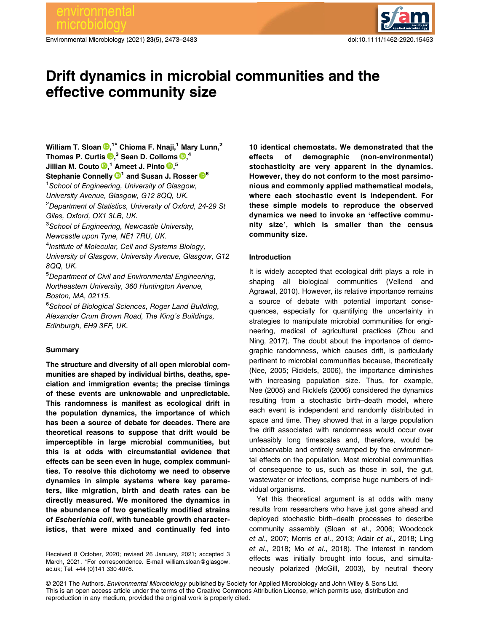# environmental

Environmental Microbiology (2021) 23(5), 2473–2483 doi:10.1111/1462-2920.15453



# Drift dynamics in microbial communities and the effective community size

William T. Sloan  $\mathbf{D},^{1\star}$  $\mathbf{D},^{1\star}$  $\mathbf{D},^{1\star}$  Chioma F. Nnaji, $^1$  Mary Lunn, $^2$ Thomas P. Curtis  $\mathbf{D},^3$  $\mathbf{D},^3$  $\mathbf{D},^3$  Sean D. Colloms  $\mathbf{D},^4$ Jillian M. Couto D,<sup>1</sup> Ameet J. Pinto D,<sup>5</sup> Stephanie Connelly  $\mathbb{D}^1$  and Susan J. Rosser  $\mathbb{D}^6$  $\mathbb{D}^6$ <sup>1</sup> School of Engineering, University of Glasgow, University Avenue, Glasgow, G12 8QQ, UK. <sup>2</sup>Department of Statistics, University of Oxford, 24-29 St Giles, Oxford, OX1 3LB, UK. <sup>3</sup>School of Engineering, Newcastle University, Newcastle upon Tyne, NE1 7RU, UK. <sup>4</sup>Institute of Molecular, Cell and Systems Biology, University of Glasgow, University Avenue, Glasgow, G12 8QQ, UK. 5 Department of Civil and Environmental Engineering, Northeastern University, 360 Huntington Avenue, Boston, MA, 02115. <sup>6</sup>School of Biological Sciences, Roger Land Building, Alexander Crum Brown Road, The King's Buildings, Edinburgh, EH9 3FF, UK.

## Summary

The structure and diversity of all open microbial communities are shaped by individual births, deaths, speciation and immigration events; the precise timings of these events are unknowable and unpredictable. This randomness is manifest as ecological drift in the population dynamics, the importance of which has been a source of debate for decades. There are theoretical reasons to suppose that drift would be imperceptible in large microbial communities, but this is at odds with circumstantial evidence that effects can be seen even in huge, complex communities. To resolve this dichotomy we need to observe dynamics in simple systems where key parameters, like migration, birth and death rates can be directly measured. We monitored the dynamics in the abundance of two genetically modified strains of Escherichia coli, with tuneable growth characteristics, that were mixed and continually fed into

Received 8 October, 2020; revised 26 January, 2021; accepted 3 March, 2021. \*For correspondence. E-mail [william.sloan@glasgow.](mailto:william.sloan@glasgow.ac.uk) [ac.uk;](mailto:william.sloan@glasgow.ac.uk) Tel. +44 (0)141 330 4076.

10 identical chemostats. We demonstrated that the effects of demographic (non-environmental) stochasticity are very apparent in the dynamics. However, they do not conform to the most parsimonious and commonly applied mathematical models, where each stochastic event is independent. For these simple models to reproduce the observed dynamics we need to invoke an 'effective community size', which is smaller than the census community size.

# Introduction

It is widely accepted that ecological drift plays a role in shaping all biological communities (Vellend and Agrawal, 2010). However, its relative importance remains a source of debate with potential important consequences, especially for quantifying the uncertainty in strategies to manipulate microbial communities for engineering, medical of agricultural practices (Zhou and Ning, 2017). The doubt about the importance of demographic randomness, which causes drift, is particularly pertinent to microbial communities because, theoretically (Nee, 2005; Ricklefs, 2006), the importance diminishes with increasing population size. Thus, for example, Nee (2005) and Ricklefs (2006) considered the dynamics resulting from a stochastic birth–death model, where each event is independent and randomly distributed in space and time. They showed that in a large population the drift associated with randomness would occur over unfeasibly long timescales and, therefore, would be unobservable and entirely swamped by the environmental effects on the population. Most microbial communities of consequence to us, such as those in soil, the gut, wastewater or infections, comprise huge numbers of individual organisms.

Yet this theoretical argument is at odds with many results from researchers who have just gone ahead and deployed stochastic birth–death processes to describe community assembly (Sloan et al., 2006; Woodcock et al., 2007; Morris et al., 2013; Adair et al., 2018; Ling et al., 2018; Mo et al., 2018). The interest in random effects was initially brought into focus, and simultaneously polarized (McGill, 2003), by neutral theory

© 2021 The Authors. Environmental Microbiology published by Society for Applied Microbiology and John Wiley & Sons Ltd. This is an open access article under the terms of the [Creative Commons Attribution](http://creativecommons.org/licenses/by/4.0/) License, which permits use, distribution and reproduction in any medium, provided the original work is properly cited.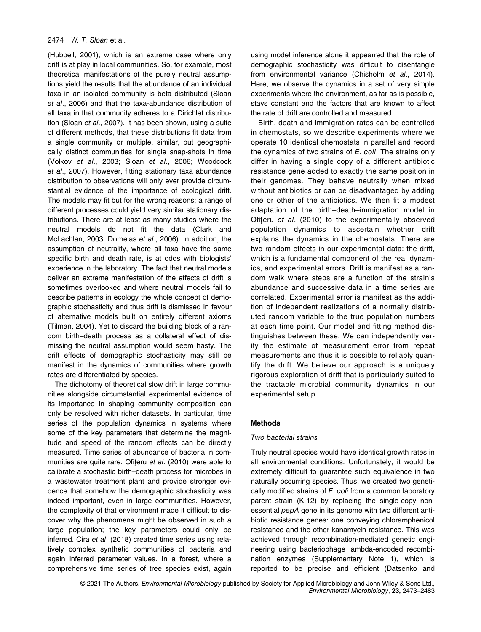# 2474 W. T. Sloan et al.

(Hubbell, 2001), which is an extreme case where only drift is at play in local communities. So, for example, most theoretical manifestations of the purely neutral assumptions yield the results that the abundance of an individual taxa in an isolated community is beta distributed (Sloan et al., 2006) and that the taxa-abundance distribution of all taxa in that community adheres to a Dirichlet distribution (Sloan et al., 2007). It has been shown, using a suite of different methods, that these distributions fit data from a single community or multiple, similar, but geographically distinct communities for single snap-shots in time (Volkov et al., 2003; Sloan et al., 2006; Woodcock et al., 2007). However, fitting stationary taxa abundance distribution to observations will only ever provide circumstantial evidence of the importance of ecological drift. The models may fit but for the wrong reasons; a range of different processes could yield very similar stationary distributions. There are at least as many studies where the neutral models do not fit the data (Clark and McLachlan, 2003; Dornelas et al., 2006). In addition, the assumption of neutrality, where all taxa have the same specific birth and death rate, is at odds with biologists' experience in the laboratory. The fact that neutral models deliver an extreme manifestation of the effects of drift is sometimes overlooked and where neutral models fail to describe patterns in ecology the whole concept of demographic stochasticity and thus drift is dismissed in favour of alternative models built on entirely different axioms (Tilman, 2004). Yet to discard the building block of a random birth–death process as a collateral effect of dismissing the neutral assumption would seem hasty. The drift effects of demographic stochasticity may still be manifest in the dynamics of communities where growth rates are differentiated by species.

The dichotomy of theoretical slow drift in large communities alongside circumstantial experimental evidence of its importance in shaping community composition can only be resolved with richer datasets. In particular, time series of the population dynamics in systems where some of the key parameters that determine the magnitude and speed of the random effects can be directly measured. Time series of abundance of bacteria in communities are quite rare. Ofiteru et al. (2010) were able to calibrate a stochastic birth–death process for microbes in a wastewater treatment plant and provide stronger evidence that somehow the demographic stochasticity was indeed important, even in large communities. However, the complexity of that environment made it difficult to discover why the phenomena might be observed in such a large population; the key parameters could only be inferred. Cira et al. (2018) created time series using relatively complex synthetic communities of bacteria and again inferred parameter values. In a forest, where a comprehensive time series of tree species exist, again using model inference alone it appearred that the role of demographic stochasticity was difficult to disentangle from environmental variance (Chisholm et al., 2014). Here, we observe the dynamics in a set of very simple experiments where the environment, as far as is possible, stays constant and the factors that are known to affect the rate of drift are controlled and measured.

Birth, death and immigration rates can be controlled in chemostats, so we describe experiments where we operate 10 identical chemostats in parallel and record the dynamics of two strains of E. coli. The strains only differ in having a single copy of a different antibiotic resistance gene added to exactly the same position in their genomes. They behave neutrally when mixed without antibiotics or can be disadvantaged by adding one or other of the antibiotics. We then fit a modest adaptation of the birth–death–immigration model in Ofiteru et al. (2010) to the experimentally observed population dynamics to ascertain whether drift explains the dynamics in the chemostats. There are two random effects in our experimental data: the drift, which is a fundamental component of the real dynamics, and experimental errors. Drift is manifest as a random walk where steps are a function of the strain's abundance and successive data in a time series are correlated. Experimental error is manifest as the addition of independent realizations of a normally distributed random variable to the true population numbers at each time point. Our model and fitting method distinguishes between these. We can independently verify the estimate of measurement error from repeat measurements and thus it is possible to reliably quantify the drift. We believe our approach is a uniquely rigorous exploration of drift that is particularly suited to the tractable microbial community dynamics in our experimental setup.

#### Methods

#### Two bacterial strains

Truly neutral species would have identical growth rates in all environmental conditions. Unfortunately, it would be extremely difficult to guarantee such equivalence in two naturally occurring species. Thus, we created two genetically modified strains of E. coli from a common laboratory parent strain (K-12) by replacing the single-copy nonessential pepA gene in its genome with two different antibiotic resistance genes: one conveying chloramphenicol resistance and the other kanamycin resistance. This was achieved through recombination-mediated genetic engineering using bacteriophage lambda-encoded recombination enzymes (Supplementary Note 1), which is reported to be precise and efficient (Datsenko and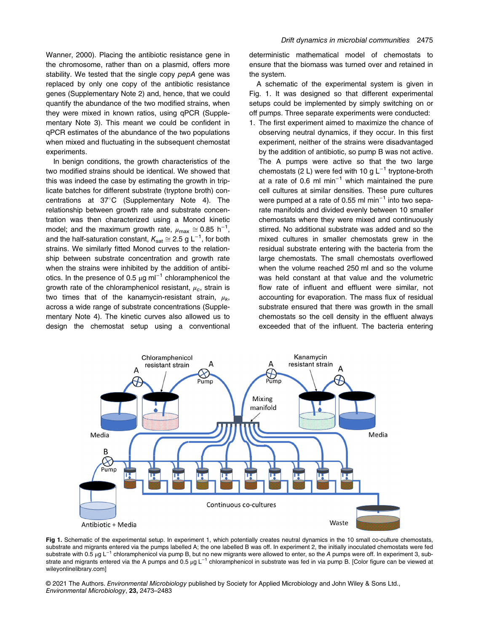Wanner, 2000). Placing the antibiotic resistance gene in the chromosome, rather than on a plasmid, offers more stability. We tested that the single copy pepA gene was replaced by only one copy of the antibiotic resistance genes (Supplementary Note 2) and, hence, that we could quantify the abundance of the two modified strains, when they were mixed in known ratios, using qPCR (Supplementary Note 3). This meant we could be confident in qPCR estimates of the abundance of the two populations when mixed and fluctuating in the subsequent chemostat experiments.

In benign conditions, the growth characteristics of the two modified strains should be identical. We showed that this was indeed the case by estimating the growth in triplicate batches for different substrate (tryptone broth) concentrations at  $37^{\circ}$ C (Supplementary Note 4). The relationship between growth rate and substrate concentration was then characterized using a Monod kinetic model; and the maximum growth rate,  $\mu_{\text{max}} \approx 0.85 \text{ h}^{-1}$ ,<br>and the half caturation constant  $K \approx 2.5 \text{ g} \text{ kg}^{-1}$  for both and the half-saturation constant,  $K_{\text{sat}} \approx 2.5$  g L<sup>-1</sup>, for both ctroing. We similarly fitted Managi auguse to the relation strains. We similarly fitted Monod curves to the relationship between substrate concentration and growth rate when the strains were inhibited by the addition of antibiotics. In the presence of 0.5  $\mu$ g ml<sup>-1</sup> chloramphenicol the growth rate of the chloramphenicol resistant,  $\mu_c$ , strain is two times that of the kanamycin-resistant strain,  $\mu_k$ , across a wide range of substrate concentrations (Supplementary Note 4). The kinetic curves also allowed us to design the chemostat setup using a conventional

deterministic mathematical model of chemostats to ensure that the biomass was turned over and retained in the system.

A schematic of the experimental system is given in Fig. 1. It was designed so that different experimental setups could be implemented by simply switching on or off pumps. Three separate experiments were conducted:

1. The first experiment aimed to maximize the chance of observing neutral dynamics, if they occur. In this first experiment, neither of the strains were disadvantaged by the addition of antibiotic, so pump B was not active. The A pumps were active so that the two large chemostats (2 L) were fed with 10 g  $L^{-1}$  tryptone-broth at a rate of 0.6 ml min<sup>-1</sup> which maintained the pure cell cultures at similar densities. These pure cultures were pumped at a rate of 0.55 ml min<sup>-1</sup> into two separate manifolds and divided evenly between 10 smaller chemostats where they were mixed and continuously stirred. No additional substrate was added and so the mixed cultures in smaller chemostats grew in the residual substrate entering with the bacteria from the large chemostats. The small chemostats overflowed when the volume reached 250 ml and so the volume was held constant at that value and the volumetric flow rate of influent and effluent were similar, not accounting for evaporation. The mass flux of residual substrate ensured that there was growth in the small chemostats so the cell density in the effluent always exceeded that of the influent. The bacteria entering



Fig 1. Schematic of the experimental setup. In experiment 1, which potentially creates neutral dynamics in the 10 small co-culture chemostats, substrate and migrants entered via the pumps labelled A; the one labelled B was off. In experiment 2, the initially inoculated chemostats were fed substrate with 0.5 μg L<sup>-1</sup> chloramphenicol via pump B, but no new migrants were allowed to enter, so the A pumps were off. In experiment 3, substrate and migrants entered via the A pumps and 0.5 µg L<sup>-1</sup> chloramphenicol in substrate was fed in via pump B. [Color figure can be viewed at [wileyonlinelibrary.com\]](http://wileyonlinelibrary.com)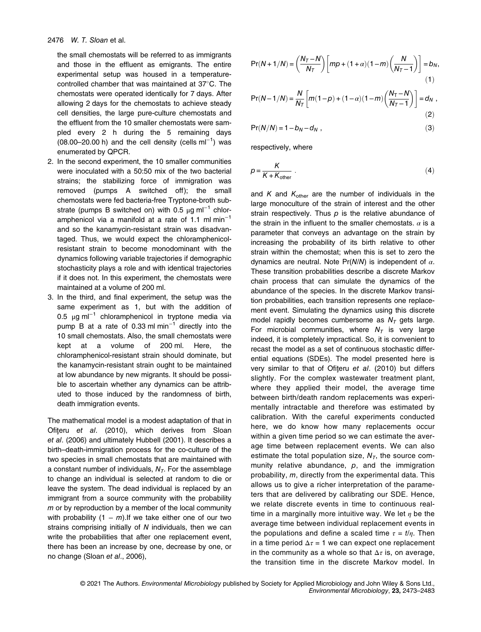the small chemostats will be referred to as immigrants and those in the effluent as emigrants. The entire experimental setup was housed in a temperaturecontrolled chamber that was maintained at  $37^{\circ}$ C. The chemostats were operated identically for 7 days. After allowing 2 days for the chemostats to achieve steady cell densities, the large pure-culture chemostats and the effluent from the 10 smaller chemostats were sampled every 2 h during the 5 remaining days (08.00–20.00 h) and the cell density (cells ml−<sup>1</sup> ) was enumerated by QPCR.

- 2. In the second experiment, the 10 smaller communities were inoculated with a 50:50 mix of the two bacterial strains; the stabilizing force of immigration was removed (pumps A switched off); the small chemostats were fed bacteria-free Tryptone-broth substrate (pumps B switched on) with 0.5  $\mu$ g ml<sup>-1</sup> chloramphenicol via a manifold at a rate of 1.1 ml min<sup>-1</sup> and so the kanamycin-resistant strain was disadvantaged. Thus, we would expect the chloramphenicolresistant strain to become monodominant with the dynamics following variable trajectories if demographic stochasticity plays a role and with identical trajectories if it does not. In this experiment, the chemostats were maintained at a volume of 200 ml.
- 3. In the third, and final experiment, the setup was the same experiment as 1, but with the addition of 0.5 μg ml−<sup>1</sup> chloramphenicol in tryptone media via pump B at a rate of 0.33 ml min<sup>-1</sup> directly into the 10 small chemostats. Also, the small chemostats were kept at a volume of 200 ml. Here, the chloramphenicol-resistant strain should dominate, but the kanamycin-resistant strain ought to be maintained at low abundance by new migrants. It should be possible to ascertain whether any dynamics can be attributed to those induced by the randomness of birth, death immigration events.

The mathematical model is a modest adaptation of that in Ofiteru et al. (2010), which derives from Sloan et al. (2006) and ultimately Hubbell (2001). It describes a birth–death-immigration process for the co-culture of the two species in small chemostats that are maintained with a constant number of individuals,  $N<sub>T</sub>$ . For the assemblage to change an individual is selected at random to die or leave the system. The dead individual is replaced by an immigrant from a source community with the probability  $m$  or by reproduction by a member of the local community with probability  $(1 - m)$ . If we take either one of our two strains comprising initially of N individuals, then we can write the probabilities that after one replacement event, there has been an increase by one, decrease by one, or no change (Sloan et al., 2006),

$$
Pr(N+1/N) = \left(\frac{N_T - N}{N_T}\right) \left[ mp + (1+\alpha)(1-m) \left(\frac{N}{N_T - 1}\right) \right] = b_N,
$$
\n(1)

$$
Pr(N-1/N) = \frac{N}{N_T} \left[ m(1-p) + (1-\alpha)(1-m) \left( \frac{N_T - N}{N_T - 1} \right) \right] = d_N,
$$
\n(2)

$$
Pr(N/N) = 1 - b_N - d_N , \qquad (3)
$$

respectively, where

$$
p = \frac{K}{K + K_{\text{other}}} \tag{4}
$$

and K and  $K_{other}$  are the number of individuals in the large monoculture of the strain of interest and the other strain respectively. Thus  $p$  is the relative abundance of the strain in the influent to the smaller chemostats.  $\alpha$  is a parameter that conveys an advantage on the strain by increasing the probability of its birth relative to other strain within the chemostat; when this is set to zero the dynamics are neutral. Note  $Pr(N/N)$  is independent of  $\alpha$ . These transition probabilities describe a discrete Markov chain process that can simulate the dynamics of the abundance of the species. In the discrete Markov transition probabilities, each transition represents one replacement event. Simulating the dynamics using this discrete model rapidly becomes cumbersome as  $N<sub>T</sub>$  gets large. For microbial communities, where  $N<sub>T</sub>$  is very large indeed, it is completely impractical. So, it is convenient to recast the model as a set of continuous stochastic differential equations (SDEs). The model presented here is very similar to that of Ofițeru et al. (2010) but differs slightly. For the complex wastewater treatment plant, where they applied their model, the average time between birth/death random replacements was experimentally intractable and therefore was estimated by calibration. With the careful experiments conducted here, we do know how many replacements occur within a given time period so we can estimate the average time between replacement events. We can also estimate the total population size,  $N<sub>T</sub>$ , the source community relative abundance,  $p$ , and the immigration probability, m, directly from the experimental data. This allows us to give a richer interpretation of the parameters that are delivered by calibrating our SDE. Hence, we relate discrete events in time to continuous realtime in a marginally more intuitive way. We let  $\eta$  be the average time between individual replacement events in the populations and define a scaled time  $\tau = t/n$ . Then in a time period  $\Delta \tau = 1$  we can expect one replacement in the community as a whole so that  $\Delta \tau$  is, on average, the transition time in the discrete Markov model. In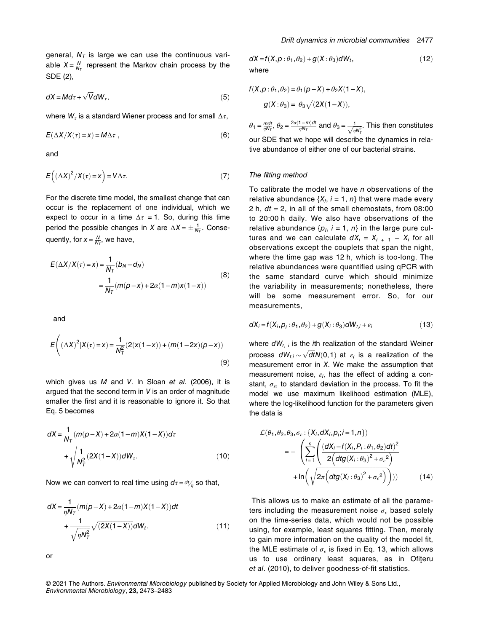general,  $N<sub>T</sub>$  is large we can use the continuous variable  $X = \frac{N}{N_T}$  represent the Markov chain process by the SDE (2),

$$
dX = M d\tau + \sqrt{V} dW_{\tau},\tag{5}
$$

where  $W_{\tau}$  is a standard Wiener process and for small  $\Delta \tau$ ,

$$
E(\Delta X/X(\tau) = x) = M\Delta \tau , \qquad (6)
$$

and

$$
E((\Delta X)^2/X(\tau)=x)=V\Delta\tau.
$$
 (7)

For the discrete time model, the smallest change that can occur is the replacement of one individual, which we expect to occur in a time  $\Delta \tau = 1$ . So, during this time period the possible changes in X are  $\Delta X = \pm \frac{1}{N_T}$ . Consequently, for  $x = \frac{N}{N_T}$ , we have,

$$
E(\Delta X/X(\tau) = x) = \frac{1}{N_T}(b_N - d_N)
$$
  
= 
$$
\frac{1}{N_T}(m(p - x) + 2\alpha(1 - m)x(1 - x))
$$
 (8)

and

$$
E\left((\Delta X)^{2}|X(\tau)=x) = \frac{1}{N_{\tau}^{2}}(2(x(1-x)) + (m(1-2x)(p-x))
$$
\n(9)

which gives us  $M$  and  $V$ . In Sloan et al. (2006), it is argued that the second term in V is an order of magnitude smaller the first and it is reasonable to ignore it. So that Eq. 5 becomes

$$
dX = \frac{1}{N_T} (m(p-X) + 2\alpha(1-m)X(1-X))d\tau + \sqrt{\frac{1}{N_T^2} (2X(1-X))} dW_T.
$$
 (10)

Now we can convert to real time using  $d\tau = dt/n$  so that,

$$
dX = \frac{1}{\eta N_T} (m(p-X) + 2\alpha (1-m)X(1-X))dt
$$
  
+ 
$$
\frac{1}{\sqrt{\eta N_T^2}} \sqrt{(2X(1-X))} dW_t.
$$
 (11)

$$
\alpha
$$

$$
dX = f(X, p: \theta_1, \theta_2) + g(X: \theta_3)dW_t,
$$
  
where (12)

$$
f(X, p: \theta_1, \theta_2) = \theta_1(p-X) + \theta_2 X(1-X),
$$
  

$$
g(X: \theta_3) = \theta_3 \sqrt{(2X(1-X))},
$$

 $\theta_1 = \frac{mot}{\eta N_T}$ ,  $\theta_2 = \frac{2\alpha(1-m)dt}{\eta N_T}$  and  $\theta_3 = \frac{1}{\sqrt{\eta N_T^2}}$ . This then constitutes our SDE that we hope will describe the dynamics in relative abundance of either one of our bacterial strains.

#### The fitting method

To calibrate the model we have  $n$  observations of the relative abundance  $\{X_i, i = 1, n\}$  that were made every 2 h,  $dt = 2$ , in all of the small chemostats, from 08:00 to 20:00 h daily. We also have observations of the relative abundance  $\{p_i, i = 1, n\}$  in the large pure cultures and we can calculate  $dX_i = X_{i+1} - X_i$  for all observations except the couplets that span the night, where the time gap was 12 h, which is too-long. The relative abundances were quantified using qPCR with the same standard curve which should minimize the variability in measurements; nonetheless, there will be some measurement error. So, for our measurements,

$$
dX_i = f(X_i, p_i : \theta_1, \theta_2) + g(X_i : \theta_3) dW_{t,i} + \varepsilon_i
$$
\n(13)

where  $dW_{t, i}$  is the *i*th realization of the standard Weiner process  $dW_{t,i} \sim \sqrt{dt}N(0,1)$  at  $\varepsilon_i$  is a realization of the process dW<sub>ti</sub>  $\sim \sqrt{dt}N(0,1)$  at  $\varepsilon_i$  is a realization of the measurement error in X. We make the assumption that measurement noise,  $\varepsilon_i$ , has the effect of adding a constant,  $\sigma_{\epsilon}$ , to standard deviation in the process. To fit the model we use maximum likelihood estimation (MLE), where the log-likelihood function for the parameters given the data is

$$
\mathcal{L}(\theta_1, \theta_2, \theta_3, \sigma_{\varepsilon} : \{X_i, dX_i, p_i; i = 1, n\})
$$
\n
$$
= -\left(\sum_{i=1}^n \left(\frac{(dX_i - f(X_i, P_i : \theta_1, \theta_2)dt)^2}{2\left(dtg(X_i : \theta_3)^2 + \sigma_{\varepsilon}^2\right)}\right) + \ln\left(\sqrt{2\pi \left(dtg(X_i : \theta_3)^2 + \sigma_{\varepsilon}^2\right)}\right)\right)
$$
(14)

This allows us to make an estimate of all the parameters including the measurement noise  $\sigma_{\varepsilon}$  based solely on the time-series data, which would not be possible using, for example, least squares fitting. Then, merely to gain more information on the quality of the model fit, the MLE estimate of  $\sigma_{\varepsilon}$  is fixed in Eq. 13, which allows us to use ordinary least squares, as in Ofițeru et al. (2010), to deliver goodness-of-fit statistics.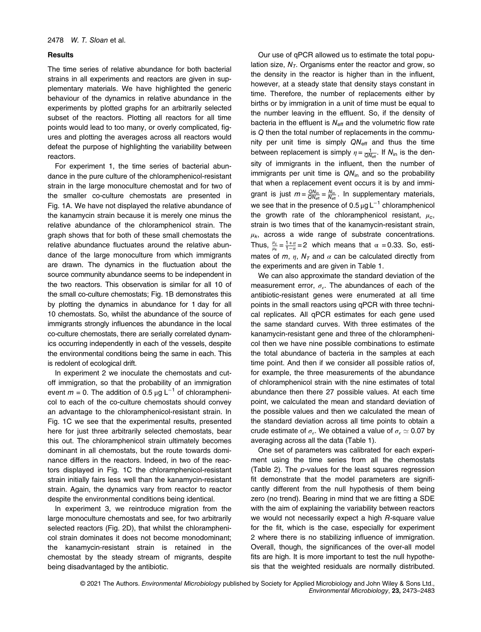#### **Results**

The time series of relative abundance for both bacterial strains in all experiments and reactors are given in supplementary materials. We have highlighted the generic behaviour of the dynamics in relative abundance in the experiments by plotted graphs for an arbitrarily selected subset of the reactors. Plotting all reactors for all time points would lead to too many, or overly complicated, figures and plotting the averages across all reactors would defeat the purpose of highlighting the variability between reactors.

For experiment 1, the time series of bacterial abundance in the pure culture of the chloramphenicol-resistant strain in the large monoculture chemostat and for two of the smaller co-culture chemostats are presented in Fig. 1A. We have not displayed the relative abundance of the kanamycin strain because it is merely one minus the relative abundance of the chloramphenicol strain. The graph shows that for both of these small chemostats the relative abundance fluctuates around the relative abundance of the large monoculture from which immigrants are drawn. The dynamics in the fluctuation about the source community abundance seems to be independent in the two reactors. This observation is similar for all 10 of the small co-culture chemostats; Fig. 1B demonstrates this by plotting the dynamics in abundance for 1 day for all 10 chemostats. So, whilst the abundance of the source of immigrants strongly influences the abundance in the local co-culture chemostats, there are serially correlated dynamics occurring independently in each of the vessels, despite the environmental conditions being the same in each. This is redolent of ecological drift.

In experiment 2 we inoculate the chemostats and cutoff immigration, so that the probability of an immigration event  $m = 0$ . The addition of 0.5 µg L<sup>-1</sup> of chloramphenicol to each of the co-culture chemostats should convey an advantage to the chloramphenicol-resistant strain. In Fig. 1C we see that the experimental results, presented here for just three arbitrarily selected chemostats, bear this out. The chloramphenicol strain ultimately becomes dominant in all chemostats, but the route towards dominance differs in the reactors. Indeed, in two of the reactors displayed in Fig. 1C the chloramphenicol-resistant strain initially fairs less well than the kanamycin-resistant strain. Again, the dynamics vary from reactor to reactor despite the environmental conditions being identical.

In experiment 3, we reintroduce migration from the large monoculture chemostats and see, for two arbitrarily selected reactors (Fig. 2D), that whilst the chloramphenicol strain dominates it does not become monodominant; the kanamycin-resistant strain is retained in the chemostat by the steady stream of migrants, despite being disadvantaged by the antibiotic.

Our use of qPCR allowed us to estimate the total population size,  $N<sub>T</sub>$ . Organisms enter the reactor and grow, so the density in the reactor is higher than in the influent, however, at a steady state that density stays constant in time. Therefore, the number of replacements either by births or by immigration in a unit of time must be equal to the number leaving in the effluent. So, if the density of bacteria in the effluent is  $N_{\text{eff}}$  and the volumetric flow rate is Q then the total number of replacements in the community per unit time is simply  $QN_{\text{eff}}$  and thus the time between replacement is simply  $\eta = \frac{1}{QN_{\text{eff}}}$ . If  $N_{\text{in}}$  is the density of immigrants in the influent, then the number of immigrants per unit time is  $QN_{in}$  and so the probability that when a replacement event occurs it is by and immigrant is just  $m = \frac{QN_{in}}{QN_{\text{eff}}} = \frac{N_{in}}{N_{\text{eff}}}$ . In supplementary materials, we see that in the presence of  $0.5 \mu g L^{-1}$  chloramphenicol the growth rate of the chloramphenicol resistant,  $\mu_c$ , strain is two times that of the kanamycin-resistant strain,  $\mu_k$ , across a wide range of substrate concentrations. Thus,  $\frac{\mu_c}{\mu_k} = \frac{1+\alpha}{1-\alpha} = 2$  which means that  $\alpha = 0.33$ . So, estimates of m,  $\eta$ ,  $N<sub>T</sub>$  and  $\alpha$  can be calculated directly from the experiments and are given in Table 1.

We can also approximate the standard deviation of the measurement error,  $\sigma_{\varepsilon}$ . The abundances of each of the antibiotic-resistant genes were enumerated at all time points in the small reactors using qPCR with three technical replicates. All qPCR estimates for each gene used the same standard curves. With three estimates of the kanamycin-resistant gene and three of the chloramphenicol then we have nine possible combinations to estimate the total abundance of bacteria in the samples at each time point. And then if we consider all possible ratios of, for example, the three measurements of the abundance of chloramphenicol strain with the nine estimates of total abundance then there 27 possible values. At each time point, we calculated the mean and standard deviation of the possible values and then we calculated the mean of the standard deviation across all time points to obtain a crude estimate of  $\sigma_{\epsilon}$ . We obtained a value of  $\sigma_{\epsilon} \simeq 0.07$  by averaging across all the data (Table 1).

One set of parameters was calibrated for each experiment using the time series from all the chemostats (Table 2). The p-values for the least squares regression fit demonstrate that the model parameters are significantly different from the null hypothesis of them being zero (no trend). Bearing in mind that we are fitting a SDE with the aim of explaining the variability between reactors we would not necessarily expect a high R-square value for the fit, which is the case, especially for experiment 2 where there is no stabilizing influence of immigration. Overall, though, the significances of the over-all model fits are high. It is more important to test the null hypothesis that the weighted residuals are normally distributed.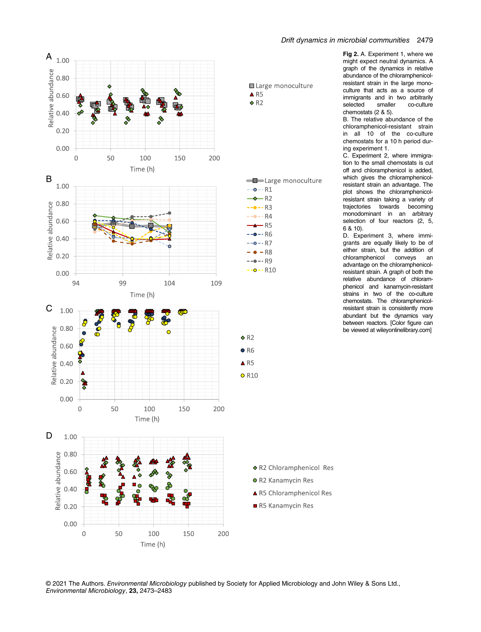

### Drift dynamics in microbial communities 2479

Fig 2. A. Experiment 1, where we might expect neutral dynamics. A graph of the dynamics in relative abundance of the chloramphenicolresistant strain in the large monoculture that acts as a source of immigrants and in two arbitrarily<br>selected smaller co-culture co-culture chemostats (2 & 5).

B. The relative abundance of the chloramphenicol-resistant strain in all 10 of the co-culture chemostats for a 10 h period during experiment 1.

C. Experiment 2, where immigration to the small chemostats is cut off and chloramphenicol is added, which gives the chloramphenicolresistant strain an advantage. The plot shows the chloramphenicolresistant strain taking a variety of trajectories towards becoming monodominant in an arbitrary selection of four reactors (2, 5, 6 & 10).

D. Experiment 3, where immigrants are equally likely to be of either strain, but the addition of<br>chloramphenicol conveys an chloramphenicol conveys an advantage on the chloramphenicolresistant strain. A graph of both the relative abundance of chloramphenicol and kanamycin-resistant strains in two of the co-culture chemostats. The chloramphenicolresistant strain is consistently more abundant but the dynamics vary between reactors. [Color figure can be viewed at [wileyonlinelibrary.com\]](http://wileyonlinelibrary.com)

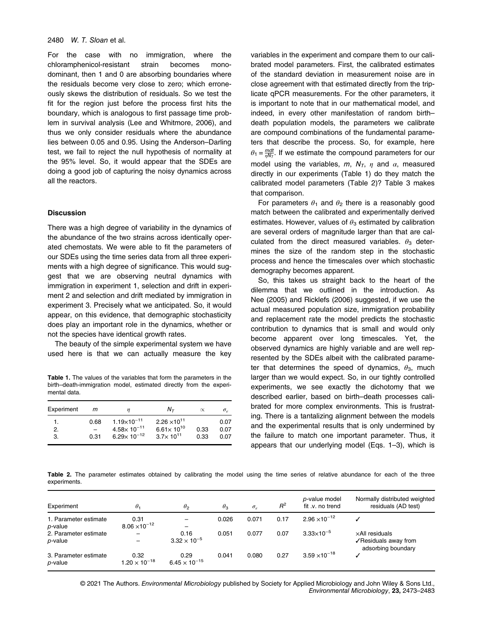#### 2480 *W. T. Sloan* et al.

For the case with no immigration, where the chloramphenicol-resistant strain becomes monodominant, then 1 and 0 are absorbing boundaries where the residuals become very close to zero; which erroneously skews the distribution of residuals. So we test the fit for the region just before the process first hits the boundary, which is analogous to first passage time problem in survival analysis (Lee and Whitmore, 2006), and thus we only consider residuals where the abundance lies between 0.05 and 0.95. Using the Anderson–Darling test, we fail to reject the null hypothesis of normality at the 95% level. So, it would appear that the SDEs are doing a good job of capturing the noisy dynamics across all the reactors.

#### **Discussion**

There was a high degree of variability in the dynamics of the abundance of the two strains across identically operated chemostats. We were able to fit the parameters of our SDEs using the time series data from all three experiments with a high degree of significance. This would suggest that we are observing neutral dynamics with immigration in experiment 1, selection and drift in experiment 2 and selection and drift mediated by immigration in experiment 3. Precisely what we anticipated. So, it would appear, on this evidence, that demographic stochasticity does play an important role in the dynamics, whether or not the species have identical growth rates.

The beauty of the simple experimental system we have used here is that we can actually measure the key

Table 1. The values of the variables that form the parameters in the birth–death-immigration model, estimated directly from the experimental data.

| Experiment | m            | n                                                                      | $N_{\tau}$                                                            |              | $\sigma_{\rm c}$     |  |
|------------|--------------|------------------------------------------------------------------------|-----------------------------------------------------------------------|--------------|----------------------|--|
| 2.<br>3.   | 0.68<br>0.31 | $1.19\times10^{-11}$<br>$4.58\times10^{-11}$<br>$6.29 \times 10^{-12}$ | $2.26 \times 10^{11}$<br>$6.61 \times 10^{10}$<br>$3.7\times 10^{11}$ | 0.33<br>0.33 | 0.07<br>0.07<br>0.07 |  |

variables in the experiment and compare them to our calibrated model parameters. First, the calibrated estimates of the standard deviation in measurement noise are in close agreement with that estimated directly from the triplicate qPCR measurements. For the other parameters, it is important to note that in our mathematical model, and indeed, in every other manifestation of random birth– death population models, the parameters we calibrate are compound combinations of the fundamental parameters that describe the process. So, for example, here  $\theta_1 = \frac{mdt}{\eta N_T}$ . If we estimate the compound parameters for our model using the variables,  $m$ ,  $N_T$ ,  $\eta$  and  $\alpha$ , measured directly in our experiments (Table 1) do they match the calibrated model parameters (Table 2)? Table 3 makes that comparison.

For parameters  $\theta_1$  and  $\theta_2$  there is a reasonably good match between the calibrated and experimentally derived estimates. However, values of  $\theta_3$  estimated by calibration are several orders of magnitude larger than that are calculated from the direct measured variables.  $\theta_3$  determines the size of the random step in the stochastic process and hence the timescales over which stochastic demography becomes apparent.

So, this takes us straight back to the heart of the dilemma that we outlined in the introduction. As Nee (2005) and Ricklefs (2006) suggested, if we use the actual measured population size, immigration probability and replacement rate the model predicts the stochastic contribution to dynamics that is small and would only become apparent over long timescales. Yet, the observed dynamics are highly variable and are well represented by the SDEs albeit with the calibrated parameter that determines the speed of dynamics,  $\theta_3$ , much larger than we would expect. So, in our tightly controlled experiments, we see exactly the dichotomy that we described earlier, based on birth–death processes calibrated for more complex environments. This is frustrating. There is a tantalizing alignment between the models and the experimental results that is only undermined by the failure to match one important parameter. Thus, it appears that our underlying model (Eqs. 1–3), which is

Table 2. The parameter estimates obtained by calibrating the model using the time series of relative abundance for each of the three experiments.

| Experiment                       | $\theta_1$                     | $\theta_2$                     | $\theta_3$ | $\sigma_{\rm c}$ | $R^2$ | p-value model<br>fit .v. no trend | Normally distributed weighted<br>residuals (AD test)         |
|----------------------------------|--------------------------------|--------------------------------|------------|------------------|-------|-----------------------------------|--------------------------------------------------------------|
| 1. Parameter estimate<br>p-value | 0.31<br>$8.06 \times 10^{-12}$ |                                | 0.026      | 0.071            | 0.17  | $2.96 \times 10^{-12}$            |                                                              |
| 2. Parameter estimate<br>p-value | —                              | 0.16<br>$3.32 \times 10^{-5}$  | 0.051      | 0.077            | 0.07  | $3.33 \times 10^{-5}$             | xAll residuals<br>√Residuals away from<br>adsorbing boundary |
| 3. Parameter estimate<br>p-value | 0.32<br>$1.20 \times 10^{-18}$ | 0.29<br>$6.45 \times 10^{-15}$ | 0.041      | 0.080            | 0.27  | $3.59 \times 10^{-18}$            |                                                              |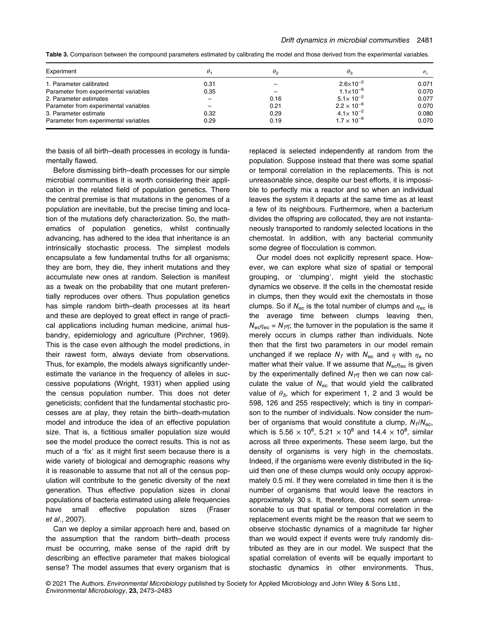| Table 3. Comparison between the compound parameters estimated by calibrating the model and those derived from the experimental variables. |  |  |
|-------------------------------------------------------------------------------------------------------------------------------------------|--|--|
|-------------------------------------------------------------------------------------------------------------------------------------------|--|--|

| Experiment                            |      | $\theta_2$ | $\theta_3$           | $\sigma_{\rm c}$ |
|---------------------------------------|------|------------|----------------------|------------------|
| 1. Parameter calibrated               | 0.31 |            | $2.6 \times 10^{-2}$ | 0.071            |
| Parameter from experimental variables | 0.35 |            | $1.1 \times 10^{-6}$ | 0.070            |
| 2. Parameter estimates                |      | 0.16       | $5.1 \times 10^{-2}$ | 0.077            |
| Parameter from experimental variables |      | 0.21       | $2.2 \times 10^{-6}$ | 0.070            |
| 3. Parameter estimate                 | 0.32 | 0.29       | $4.1 \times 10^{-2}$ | 0.080            |
| Parameter from experimental variables | 0.29 | 0.19       | $1.7 \times 10^{-6}$ | 0.070            |

the basis of all birth–death processes in ecology is fundamentally flawed.

Before dismissing birth–death processes for our simple microbial communities it is worth considering their application in the related field of population genetics. There the central premise is that mutations in the genomes of a population are inevitable, but the precise timing and location of the mutations defy characterization. So, the mathematics of population genetics, whilst continually advancing, has adhered to the idea that inheritance is an intrinsically stochastic process. The simplest models encapsulate a few fundamental truths for all organisms; they are born, they die, they inherit mutations and they accumulate new ones at random. Selection is manifest as a tweak on the probability that one mutant preferentially reproduces over others. Thus population genetics has simple random birth–death processes at its heart and these are deployed to great effect in range of practical applications including human medicine, animal husbandry, epidemiology and agriculture (Pirchner, 1969). This is the case even although the model predictions, in their rawest form, always deviate from observations. Thus, for example, the models always significantly underestimate the variance in the frequency of alleles in successive populations (Wright, 1931) when applied using the census population number. This does not deter geneticists; confident that the fundamental stochastic processes are at play, they retain the birth–death-mutation model and introduce the idea of an effective population size. That is, a fictitious smaller population size would see the model produce the correct results. This is not as much of a 'fix' as it might first seem because there is a wide variety of biological and demographic reasons why it is reasonable to assume that not all of the census population will contribute to the genetic diversity of the next generation. Thus effective population sizes in clonal populations of bacteria estimated using allele frequencies have small effective population sizes (Fraser et al., 2007).

Can we deploy a similar approach here and, based on the assumption that the random birth–death process must be occurring, make sense of the rapid drift by describing an effective parameter that makes biological sense? The model assumes that every organism that is replaced is selected independently at random from the population. Suppose instead that there was some spatial or temporal correlation in the replacements. This is not unreasonable since, despite our best efforts, it is impossible to perfectly mix a reactor and so when an individual leaves the system it departs at the same time as at least a few of its neighbours. Furthermore, when a bacterium divides the offspring are collocated, they are not instantaneously transported to randomly selected locations in the chemostat. In addition, with any bacterial community some degree of flocculation is common.

Our model does not explicitly represent space. However, we can explore what size of spatial or temporal grouping, or 'clumping', might yield the stochastic dynamics we observe. If the cells in the chemostat reside in clumps, then they would exit the chemostats in those clumps. So if  $N_{\text{ec}}$  is the total number of clumps and  $\eta_{\text{ec}}$  is the average time between clumps leaving then,  $N_{\text{ec}}\eta_{\text{ec}} = N_T \eta$ ; the turnover in the population is the same it merely occurs in clumps rather than individuals. Note then that the first two parameters in our model remain unchanged if we replace  $N<sub>T</sub>$  with  $N<sub>ec</sub>$  and  $\eta$  with  $\eta<sub>e</sub>$  no matter what their value. If we assume that  $N_{\rm e} \gamma_{\rm e}$  is given by the experimentally defined  $N_{\overline{I}}$  then we can now calculate the value of  $N_{\text{ec}}$  that would yield the calibrated value of  $\theta_3$ , which for experiment 1, 2 and 3 would be 598, 126 and 255 respectively; which is tiny in comparison to the number of individuals. Now consider the number of organisms that would constitute a clump,  $N_T/N_{\text{esc}}$ , which is 5.56  $\times$  10<sup>8</sup>, 5.21  $\times$  10<sup>8</sup> and 14.4  $\times$  10<sup>8</sup>, similar across all three experiments. These seem large, but the density of organisms is very high in the chemostats. Indeed, if the organisms were evenly distributed in the liquid then one of these clumps would only occupy approximately 0.5 ml. If they were correlated in time then it is the number of organisms that would leave the reactors in approximately 30 s. It, therefore, does not seem unreasonable to us that spatial or temporal correlation in the replacement events might be the reason that we seem to observe stochastic dynamics of a magnitude far higher than we would expect if events were truly randomly distributed as they are in our model. We suspect that the spatial correlation of events will be equally important to stochastic dynamics in other environments. Thus,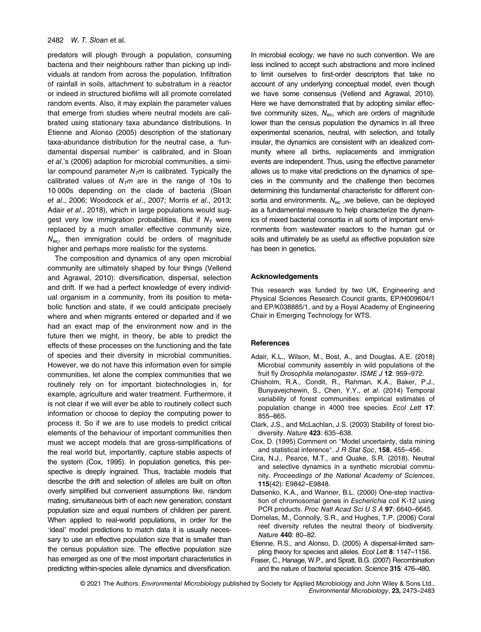#### 2482 *W. T. Sloan* et al.

predators will plough through a population, consuming bacteria and their neighbours rather than picking up individuals at random from across the population. Infiltration of rainfall in soils, attachment to substratum in a reactor or indeed in structured biofilms will all promote correlated random events. Also, it may explain the parameter values that emerge from studies where neutral models are calibrated using stationary taxa abundance distributions. In Etienne and Alonso (2005) description of the stationary taxa-abundance distribution for the neutral case, a 'fundamental dispersal number' is calibrated, and in Sloan et al.'s (2006) adaption for microbial communities, a similar compound parameter  $N<sub>T</sub>m$  is calibrated. Typically the calibrated values of  $N<sub>T</sub>m$  are in the range of 10s to 10 000s depending on the clade of bacteria (Sloan et al., 2006; Woodcock et al., 2007; Morris et al., 2013; Adair et al., 2018), which in large populations would suggest very low immigration probabilities. But if  $N<sub>T</sub>$  were replaced by a much smaller effective community size,  $N_{\text{ec}}$ , then immigration could be orders of magnitude higher and perhaps more realistic for the systems.

The composition and dynamics of any open microbial community are ultimately shaped by four things (Vellend and Agrawal, 2010): diversification, dispersal, selection and drift. If we had a perfect knowledge of every individual organism in a community, from its position to metabolic function and state, if we could anticipate precisely where and when migrants entered or departed and if we had an exact map of the environment now and in the future then we might, in theory, be able to predict the effects of these processes on the functioning and the fate of species and their diversity in microbial communities. However, we do not have this information even for simple communities, let alone the complex communities that we routinely rely on for important biotechnologies in, for example, agriculture and water treatment. Furthermore, it is not clear if we will ever be able to routinely collect such information or choose to deploy the computing power to process it. So if we are to use models to predict critical elements of the behaviour of important communities then must we accept models that are gross-simplifications of the real world but, importantly, capture stable aspects of the system (Cox, 1995). In population genetics, this perspective is deeply ingrained. Thus, tractable models that describe the drift and selection of alleles are built on often overly simplified but convenient assumptions like, random mating, simultaneous birth of each new generation, constant population size and equal numbers of children per parent. When applied to real-world populations, in order for the 'ideal' model predictions to match data it is usually necessary to use an effective population size that is smaller than the census population size. The effective population size has emerged as one of the most important characteristics in predicting within-species allele dynamics and diversification.

In microbial ecology, we have no such convention. We are less inclined to accept such abstractions and more inclined to limit ourselves to first-order descriptors that take no account of any underlying conceptual model, even though we have some consensus (Vellend and Agrawal, 2010). Here we have demonstrated that by adopting similar effective community sizes,  $N_{\text{ec}}$ , which are orders of magnitude lower than the census population the dynamics in all three experimental scenarios, neutral, with selection, and totally insular, the dynamics are consistent with an idealized community where all births, replacements and immigration events are independent. Thus, using the effective parameter allows us to make vital predictions on the dynamics of species in the community and the challenge then becomes determining this fundamental characteristic for different consortia and environments.  $N_{\text{ec}}$ , we believe, can be deployed as a fundamental measure to help characterize the dynamics of mixed bacterial consortia in all sorts of important environments from wastewater reactors to the human gut or soils and ultimately be as useful as effective population size has been in genetics.

#### Acknowledgements

This research was funded by two UK, Engineering and Physical Sciences Research Council grants, EP/H009604/1 and EP/K038885/1, and by a Royal Academy of Engineering Chair in Emerging Technology for WTS.

#### **References**

- Adair, K.L., Wilson, M., Bost, A., and Douglas, A.E. (2018) Microbial community assembly in wild populations of the fruit fly Drosophila melanogaster. ISME J 12: 959-972.
- Chisholm, R.A., Condit, R., Rahman, K.A., Baker, P.J., Bunyavejchewin, S., Chen, Y.Y., et al. (2014) Temporal variability of forest communities: empirical estimates of population change in 4000 tree species. Ecol Lett 17: 855–865.
- Clark, J.S., and McLachlan, J.S. (2003) Stability of forest biodiversity. Nature 423: 635–638.
- Cox, D. (1995) Comment on "Model uncertainty, data mining and statistical inference". J R Stat Soc, 158, 455-456.
- Cira, N.J., Pearce, M.T., and Quake, S.R. (2018). Neutral and selective dynamics in a synthetic microbial community. Proceedings of the National Academy of Sciences, 115(42): E9842–E9848.
- Datsenko, K.A., and Wanner, B.L. (2000) One-step inactivation of chromosomal genes in Escherichia coli K-12 using PCR products. Proc Natl Acad Sci U S A 97: 6640-6645.
- Dornelas, M., Connolly, S.R., and Hughes, T.P. (2006) Coral reef diversity refutes the neutral theory of biodiversity. Nature 440: 80–82.
- Etienne, R.S., and Alonso, D. (2005) A dispersal-limited sampling theory for species and alleles. Ecol Lett 8: 1147-1156.
- Fraser, C., Hanage, W.P., and Spratt, B.G. (2007) Recombination and the nature of bacterial speciation. Science 315: 476–480.